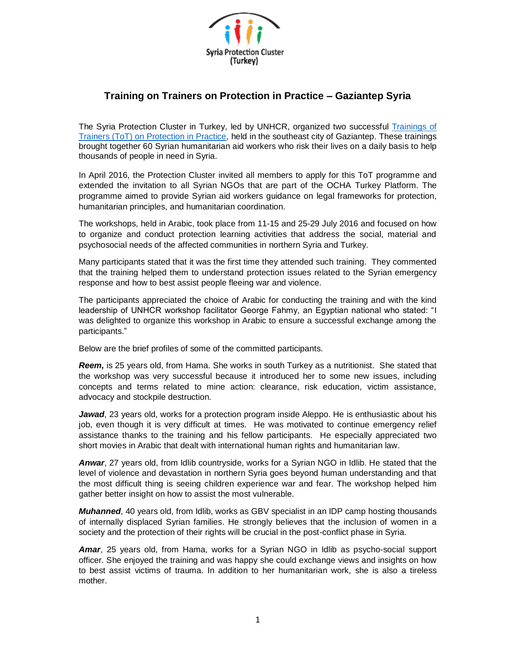

## **Training on Trainers on Protection in Practice – Gaziantep Syria**

The Syria Protection Cluster in Turkey, led by UNHCR, organized two successful [Trainings of](http://www.globalprotectioncluster.org/en/field-support/training-and-learning.html)  [Trainers \(ToT\) on Protection in Practice,](http://www.globalprotectioncluster.org/en/field-support/training-and-learning.html) held in the southeast city of Gaziantep. These trainings brought together 60 Syrian humanitarian aid workers who risk their lives on a daily basis to help thousands of people in need in Syria.

In April 2016, the Protection Cluster invited all members to apply for this ToT programme and extended the invitation to all Syrian NGOs that are part of the OCHA Turkey Platform. The programme aimed to provide Syrian aid workers guidance on legal frameworks for protection, humanitarian principles, and humanitarian coordination.

The workshops, held in Arabic, took place from 11-15 and 25-29 July 2016 and focused on how to organize and conduct protection learning activities that address the social, material and psychosocial needs of the affected communities in northern Syria and Turkey.

Many participants stated that it was the first time they attended such training. They commented that the training helped them to understand protection issues related to the Syrian emergency response and how to best assist people fleeing war and violence.

The participants appreciated the choice of Arabic for conducting the training and with the kind leadership of UNHCR workshop facilitator George Fahmy, an Egyptian national who stated: "I was delighted to organize this workshop in Arabic to ensure a successful exchange among the participants."

Below are the brief profiles of some of the committed participants.

*Reem,* is 25 years old, from Hama. She works in south Turkey as a nutritionist. She stated that the workshop was very successful because it introduced her to some new issues, including concepts and terms related to mine action: clearance, risk education, victim assistance, advocacy and stockpile destruction.

*Jawad*, 23 years old, works for a protection program inside Aleppo. He is enthusiastic about his job, even though it is very difficult at times. He was motivated to continue emergency relief assistance thanks to the training and his fellow participants. He especially appreciated two short movies in Arabic that dealt with international human rights and humanitarian law.

*Anwar*, 27 years old, from Idlib countryside, works for a Syrian NGO in Idlib. He stated that the level of violence and devastation in northern Syria goes beyond human understanding and that the most difficult thing is seeing children experience war and fear. The workshop helped him gather better insight on how to assist the most vulnerable.

*Muhanned*, 40 years old, from Idlib, works as GBV specialist in an IDP camp hosting thousands of internally displaced Syrian families. He strongly believes that the inclusion of women in a society and the protection of their rights will be crucial in the post-conflict phase in Syria.

*Amar*, 25 years old, from Hama, works for a Syrian NGO in Idlib as psycho-social support officer. She enjoyed the training and was happy she could exchange views and insights on how to best assist victims of trauma. In addition to her humanitarian work, she is also a tireless mother.